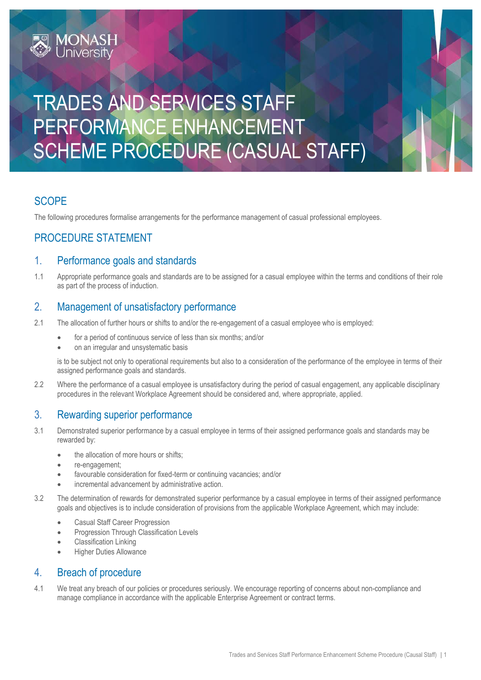# TRADES AND SERVICES STAFF PERFORMANCE ENHANCEMENT SCHEME PROCEDURE (CASUAL STAFF)

## **SCOPE**

The following procedures formalise arrangements for the performance management of casual professional employees.

### PROCEDURE STATEMENT

#### 1. Performance goals and standards

1.1 Appropriate performance goals and standards are to be assigned for a casual employee within the terms and conditions of their role as part of the process of induction.

#### 2. Management of unsatisfactory performance

- 2.1 The allocation of further hours or shifts to and/or the re-engagement of a casual employee who is employed:
	- for a period of continuous service of less than six months; and/or
	- on an irregular and unsystematic basis

is to be subject not only to operational requirements but also to a consideration of the performance of the employee in terms of their assigned performance goals and standards.

2.2 Where the performance of a casual employee is unsatisfactory during the period of casual engagement, any applicable disciplinary procedures in the relevant Workplace Agreement should be considered and, where appropriate, applied.

#### 3. Rewarding superior performance

- 3.1 Demonstrated superior performance by a casual employee in terms of their assigned performance goals and standards may be rewarded by:
	- the allocation of more hours or shifts;
	- re-engagement;
	- favourable consideration for fixed-term or continuing vacancies; and/or
	- incremental advancement by administrative action.
- 3.2 The determination of rewards for demonstrated superior performance by a casual employee in terms of their assigned performance goals and objectives is to include consideration of provisions from the applicable Workplace Agreement, which may include:
	- Casual Staff Career Progression
	- Progression Through Classification Levels
	- Classification Linking
	- Higher Duties Allowance

#### 4. Breach of procedure

4.1 We treat any breach of our policies or procedures seriously. We encourage reporting of concerns about non-compliance and manage compliance in accordance with the applicable Enterprise Agreement or contract terms.